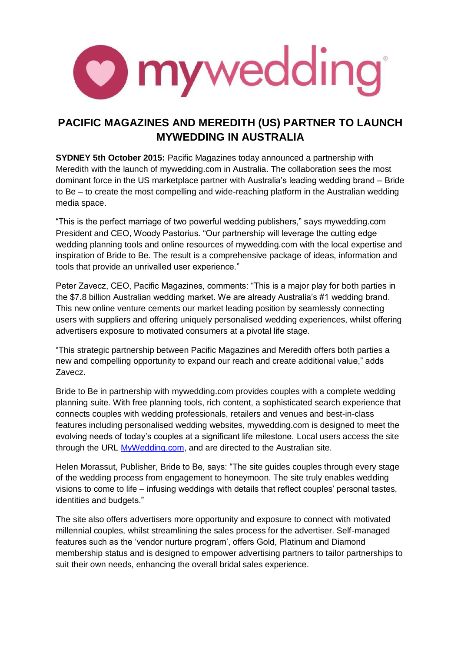

## **PACIFIC MAGAZINES AND MEREDITH (US) PARTNER TO LAUNCH MYWEDDING IN AUSTRALIA**

**SYDNEY 5th October 2015:** Pacific Magazines today announced a partnership with Meredith with the launch of mywedding.com in Australia. The collaboration sees the most dominant force in the US marketplace partner with Australia's leading wedding brand – Bride to Be – to create the most compelling and wide-reaching platform in the Australian wedding media space.

"This is the perfect marriage of two powerful wedding publishers," says mywedding.com President and CEO, Woody Pastorius. "Our partnership will leverage the cutting edge wedding planning tools and online resources of mywedding.com with the local expertise and inspiration of Bride to Be. The result is a comprehensive package of ideas, information and tools that provide an unrivalled user experience."

Peter Zavecz, CEO, Pacific Magazines, comments: "This is a major play for both parties in the \$7.8 billion Australian wedding market. We are already Australia's #1 wedding brand. This new online venture cements our market leading position by seamlessly connecting users with suppliers and offering uniquely personalised wedding experiences, whilst offering advertisers exposure to motivated consumers at a pivotal life stage.

"This strategic partnership between Pacific Magazines and Meredith offers both parties a new and compelling opportunity to expand our reach and create additional value," adds Zavecz.

Bride to Be in partnership with mywedding.com provides couples with a complete wedding planning suite. With free planning tools, rich content, a sophisticated search experience that connects couples with wedding professionals, retailers and venues and best-in-class features including personalised wedding websites, mywedding.com is designed to meet the evolving needs of today's couples at a significant life milestone. Local users access the site through the URL [MyWedding.com,](http://mywedding.com/) and are directed to the Australian site.

Helen Morassut, Publisher, Bride to Be, says: "The site guides couples through every stage of the wedding process from engagement to honeymoon. The site truly enables wedding visions to come to life – infusing weddings with details that reflect couples' personal tastes, identities and budgets."

The site also offers advertisers more opportunity and exposure to connect with motivated millennial couples, whilst streamlining the sales process for the advertiser. Self-managed features such as the 'vendor nurture program', offers Gold, Platinum and Diamond membership status and is designed to empower advertising partners to tailor partnerships to suit their own needs, enhancing the overall bridal sales experience.